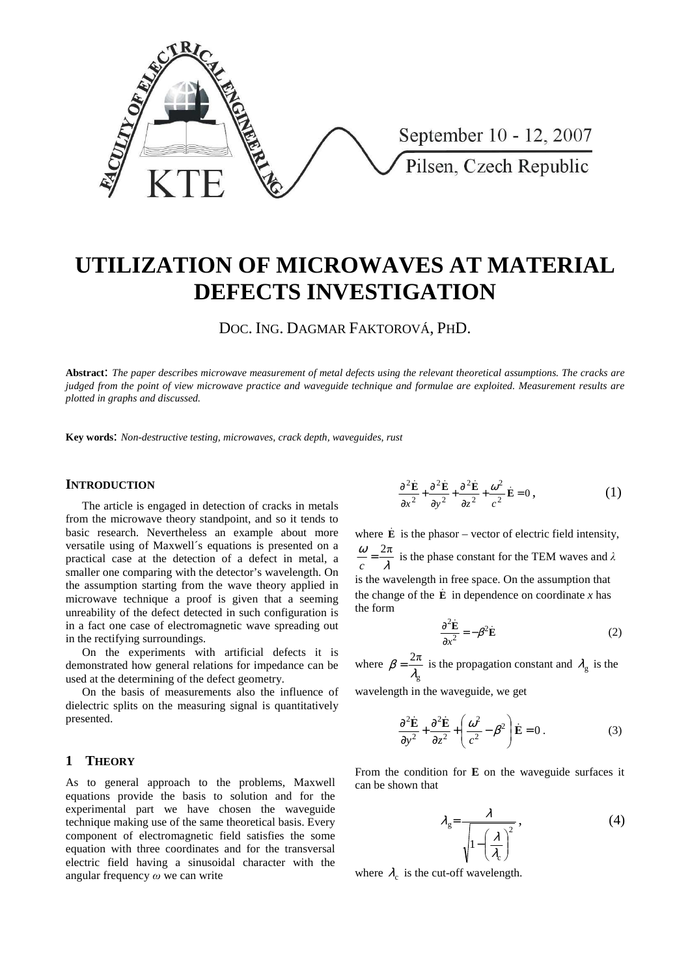

# **UTILIZATION OF MICROWAVES AT MATERIAL DEFECTS INVESTIGATION**

DOC. ING. DAGMAR FAKTOROVÁ, PHD.

**Abstract**: *The paper describes microwave measurement of metal defects using the relevant theoretical assumptions. The cracks are judged from the point of view microwave practice and waveguide technique and formulae are exploited. Measurement results are plotted in graphs and discussed.* 

**Key words**: *Non-destructive testing, microwaves, crack depth, waveguides, rust*

# **INTRODUCTION**

The article is engaged in detection of cracks in metals from the microwave theory standpoint, and so it tends to basic research. Nevertheless an example about more versatile using of Maxwell´s equations is presented on a practical case at the detection of a defect in metal, a smaller one comparing with the detector's wavelength. On the assumption starting from the wave theory applied in microwave technique a proof is given that a seeming unreability of the defect detected in such configuration is in a fact one case of electromagnetic wave spreading out in the rectifying surroundings.

On the experiments with artificial defects it is demonstrated how general relations for impedance can be used at the determining of the defect geometry.

On the basis of measurements also the influence of dielectric splits on the measuring signal is quantitatively presented.

#### **1 THEORY**

As to general approach to the problems, Maxwell equations provide the basis to solution and for the experimental part we have chosen the waveguide technique making use of the same theoretical basis. Every component of electromagnetic field satisfies the some equation with three coordinates and for the transversal electric field having a sinusoidal character with the angular frequency  $\omega$  we can write

$$
\frac{\partial^2 \dot{\mathbf{E}}}{\partial x^2} + \frac{\partial^2 \dot{\mathbf{E}}}{\partial y^2} + \frac{\partial^2 \dot{\mathbf{E}}}{\partial z^2} + \frac{\omega^2}{c^2} \dot{\mathbf{E}} = 0, \qquad (1)
$$

where  $\dot{\mathbf{E}}$  is the phasor – vector of electric field intensity, λ  $\frac{\omega}{c} = \frac{2\pi}{\lambda}$  is the phase constant for the TEM waves and  $\lambda$ is the wavelength in free space. On the assumption that the change of the  $\dot{\mathbf{E}}$  in dependence on coordinate *x* has the form

$$
\frac{\partial^2 \dot{\mathbf{E}}}{\partial x^2} = -\beta^2 \dot{\mathbf{E}} \tag{2}
$$

where g 2π  $\beta = \frac{2\pi}{\lambda}$  is the propagation constant and  $\lambda_{\rm g}$  is the

wavelength in the waveguide, we get

$$
\frac{\partial^2 \dot{\mathbf{E}}}{\partial y^2} + \frac{\partial^2 \dot{\mathbf{E}}}{\partial z^2} + \left(\frac{\omega^2}{c^2} - \beta^2\right) \dot{\mathbf{E}} = 0.
$$
 (3)

From the condition for **E** on the waveguide surfaces it can be shown that

$$
\lambda_{g} = \frac{\lambda}{\sqrt{1 - \left(\frac{\lambda}{\lambda_{c}}\right)^{2}}},
$$
\n(4)

where  $\lambda_c$  is the cut-off wavelength.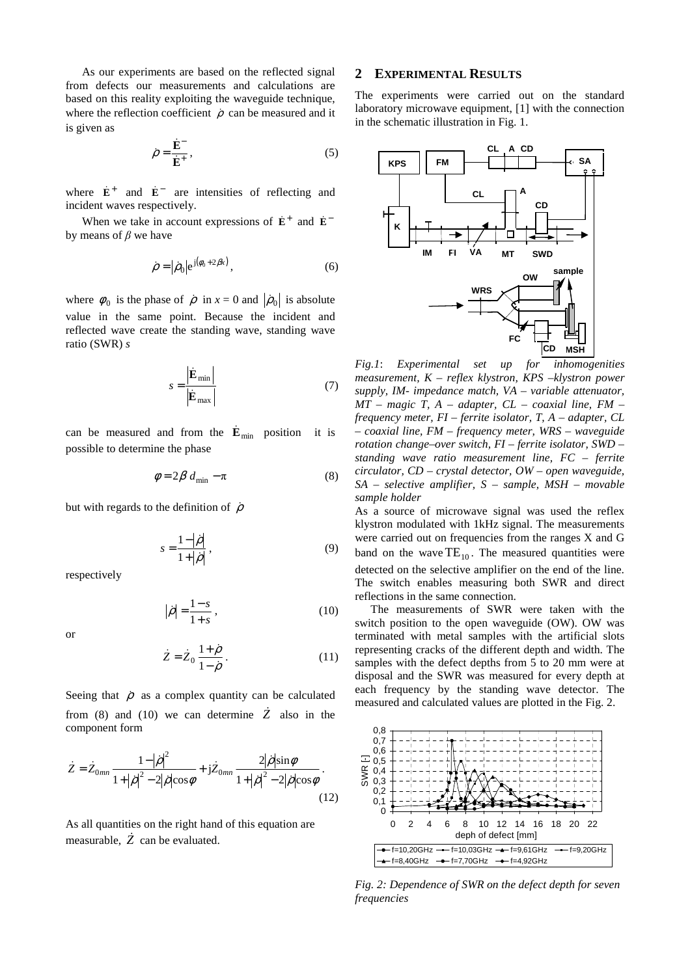As our experiments are based on the reflected signal from defects our measurements and calculations are based on this reality exploiting the waveguide technique, where the reflection coefficient  $\rho$  can be measured and it is given as

$$
\dot{\rho} = \frac{\dot{\mathbf{E}}^{-}}{\dot{\mathbf{E}}^{+}},\tag{5}
$$

where  $\dot{\mathbf{E}}^+$  and  $\dot{\mathbf{E}}^-$  are intensities of reflecting and incident waves respectively.

When we take in account expressions of  $\dot{\mathbf{E}}^+$  and  $\dot{\mathbf{E}}^$ by means of  $\beta$  we have

$$
\dot{\rho} = |\dot{\rho}_0| e^{j(\phi_0 + 2\beta x)},\tag{6}
$$

where  $\phi_0$  is the phase of  $\dot{\rho}$  in  $x = 0$  and  $|\dot{\rho}_0|$  is absolute value in the same point. Because the incident and reflected wave create the standing wave, standing wave ratio (SWR) *s* 

$$
s = \frac{\dot{\mathbf{E}}_{\text{min}}}{\dot{\mathbf{E}}_{\text{max}}} \tag{7}
$$

can be measured and from the  $\dot{\mathbf{E}}_{min}$  position it is possible to determine the phase

$$
\phi = 2\beta \, d_{\min} - \pi \tag{8}
$$

but with regards to the definition of  $\dot{\rho}$ 

$$
s = \frac{1 - |\dot{\rho}|}{1 + |\dot{\rho}|},\tag{9}
$$

respectively

$$
\left|\dot{\rho}\right| = \frac{1-s}{1+s},\tag{10}
$$

or

$$
\dot{Z} = \dot{Z}_0 \frac{1+\dot{\rho}}{1-\dot{\rho}}.
$$
\n(11)

Seeing that  $\dot{\rho}$  as a complex quantity can be calculated from (8) and (10) we can determine  $\dot{Z}$  also in the component form

$$
\dot{Z} = \dot{Z}_{0mn} \frac{1 - |\dot{\rho}|^2}{1 + |\dot{\rho}|^2 - 2|\dot{\rho}|\cos\phi} + j\dot{Z}_{0mn} \frac{2|\dot{\rho}|\sin\phi}{1 + |\dot{\rho}|^2 - 2|\dot{\rho}|\cos\phi}.
$$
\n(12)

As all quantities on the right hand of this equation are measurable,  $\overrightarrow{Z}$  can be evaluated.

#### **2 EXPERIMENTAL RESULTS**

The experiments were carried out on the standard laboratory microwave equipment, [1] with the connection in the schematic illustration in Fig. 1.



*Fig.1*: *Experimental set up for inhomogenities measurement, K – reflex klystron, KPS –klystron power supply, IM- impedance match, VA – variable attenuator, MT – magic T, A – adapter, CL – coaxial line, FM – frequency meter, FI – ferrite isolator, T, A – adapter, CL – coaxial line, FM – frequency meter, WRS – waveguide rotation change–over switch, FI – ferrite isolator, SWD – standing wave ratio measurement line, FC – ferrite circulator, CD – crystal detector, OW – open waveguide, SA – selective amplifier, S – sample, MSH – movable sample holder* 

As a source of microwave signal was used the reflex klystron modulated with 1kHz signal. The measurements were carried out on frequencies from the ranges X and G band on the wave  $TE_{10}$ . The measured quantities were detected on the selective amplifier on the end of the line. The switch enables measuring both SWR and direct reflections in the same connection.

The measurements of SWR were taken with the switch position to the open waveguide (OW). OW was terminated with metal samples with the artificial slots representing cracks of the different depth and width. The samples with the defect depths from 5 to 20 mm were at disposal and the SWR was measured for every depth at each frequency by the standing wave detector. The measured and calculated values are plotted in the Fig. 2.



*Fig. 2: Dependence of SWR on the defect depth for seven frequencies*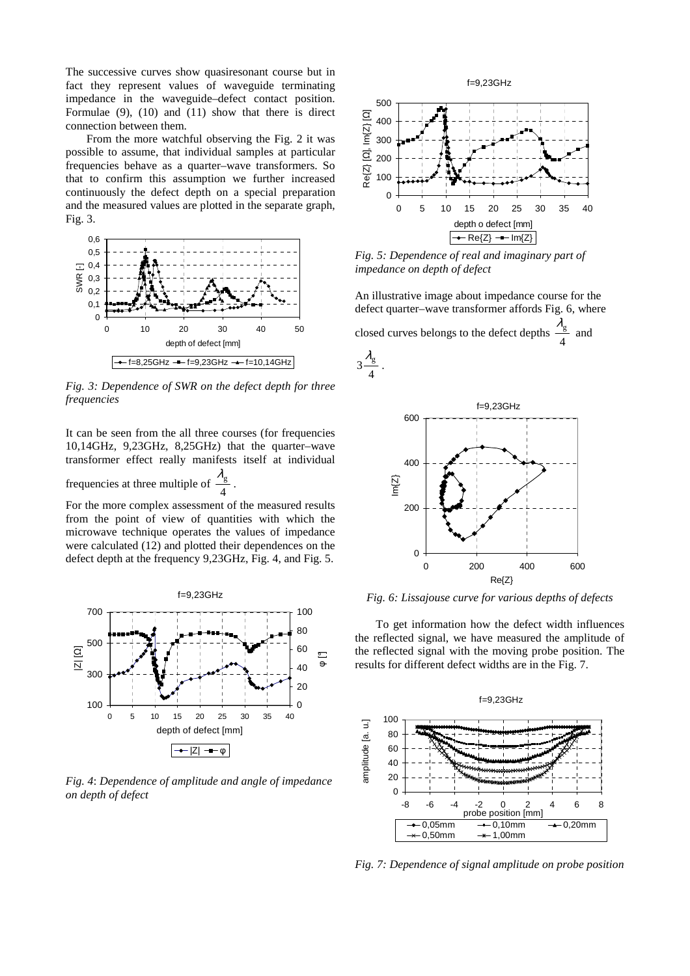The successive curves show quasiresonant course but in fact they represent values of waveguide terminating impedance in the waveguide–defect contact position. Formulae (9), (10) and (11) show that there is direct connection between them.

From the more watchful observing the Fig. 2 it was possible to assume, that individual samples at particular frequencies behave as a quarter–wave transformers. So that to confirm this assumption we further increased continuously the defect depth on a special preparation and the measured values are plotted in the separate graph, Fig. 3.



*Fig. 3: Dependence of SWR on the defect depth for three frequencies* 

It can be seen from the all three courses (for frequencies 10,14GHz, 9,23GHz, 8,25GHz) that the quarter–wave transformer effect really manifests itself at individual frequencies at three multiple of  $\frac{4}{4}$  $\lambda_{\mathrm{g}}$ .

For the more complex assessment of the measured results from the point of view of quantities with which the microwave technique operates the values of impedance were calculated (12) and plotted their dependences on the defect depth at the frequency 9,23GHz, Fig. 4, and Fig. 5.



*Fig. 4*: *Dependence of amplitude and angle of impedance on depth of defect* 



*Fig. 5: Dependence of real and imaginary part of impedance on depth of defect* 

An illustrative image about impedance course for the defect quarter–wave transformer affords Fig. 6, where closed curves belongs to the defect depths  $\frac{1}{4}$  $\frac{\lambda_{\rm g}}{2}$  and





*Fig. 6: Lissajouse curve for various depths of defects* 

To get information how the defect width influences the reflected signal, we have measured the amplitude of the reflected signal with the moving probe position. The results for different defect widths are in the Fig. 7.



*Fig. 7: Dependence of signal amplitude on probe position*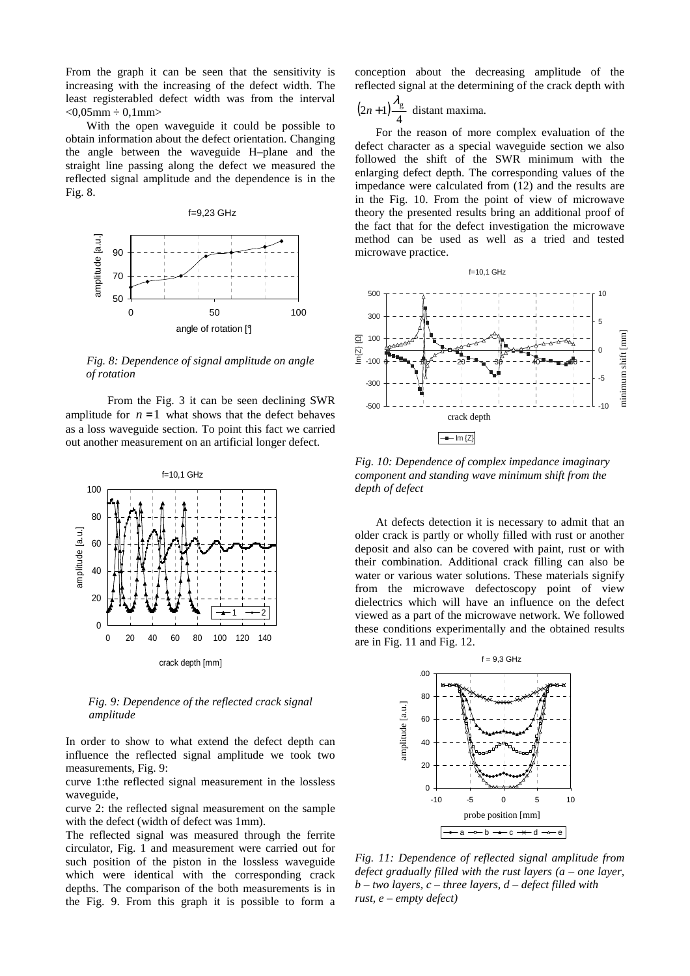From the graph it can be seen that the sensitivity is increasing with the increasing of the defect width. The least registerabled defect width was from the interval  $< 0.05$ mm  $\div 0.1$ mm $>$ 

With the open waveguide it could be possible to obtain information about the defect orientation. Changing the angle between the waveguide H–plane and the straight line passing along the defect we measured the reflected signal amplitude and the dependence is in the Fig. 8.



*Fig. 8: Dependence of signal amplitude on angle of rotation* 

From the Fig. 3 it can be seen declining SWR amplitude for  $n = 1$  what shows that the defect behaves as a loss waveguide section. To point this fact we carried out another measurement on an artificial longer defect.



*Fig. 9: Dependence of the reflected crack signal amplitude* 

In order to show to what extend the defect depth can influence the reflected signal amplitude we took two measurements, Fig. 9:

curve 1:the reflected signal measurement in the lossless waveguide,

curve 2: the reflected signal measurement on the sample with the defect (width of defect was 1mm).

The reflected signal was measured through the ferrite circulator, Fig. 1 and measurement were carried out for such position of the piston in the lossless waveguide which were identical with the corresponding crack depths. The comparison of the both measurements is in the Fig. 9. From this graph it is possible to form a conception about the decreasing amplitude of the reflected signal at the determining of the crack depth with

$$
(2n+1)\frac{\lambda_g}{4}
$$
 distant maxima.

 $\overline{a}$ 

For the reason of more complex evaluation of the defect character as a special waveguide section we also followed the shift of the SWR minimum with the enlarging defect depth. The corresponding values of the impedance were calculated from (12) and the results are in the Fig. 10. From the point of view of microwave theory the presented results bring an additional proof of the fact that for the defect investigation the microwave method can be used as well as a tried and tested microwave practice.



*Fig. 10: Dependence of complex impedance imaginary component and standing wave minimum shift from the depth of defect* 

At defects detection it is necessary to admit that an older crack is partly or wholly filled with rust or another deposit and also can be covered with paint, rust or with their combination. Additional crack filling can also be water or various water solutions. These materials signify from the microwave defectoscopy point of view dielectrics which will have an influence on the defect viewed as a part of the microwave network. We followed these conditions experimentally and the obtained results are in Fig. 11 and Fig. 12.



*Fig. 11: Dependence of reflected signal amplitude from defect gradually filled with the rust layers (a – one layer, b – two layers, c – three layers, d – defect filled with rust, e – empty defect)*